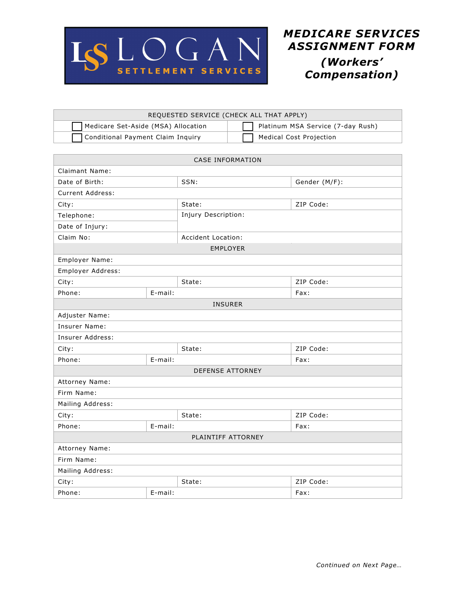

| REQUESTED SERVICE (CHECK ALL THAT APPLY) |                                   |  |  |  |
|------------------------------------------|-----------------------------------|--|--|--|
| Medicare Set-Aside (MSA) Allocation      | Platinum MSA Service (7-day Rush) |  |  |  |
| Conditional Payment Claim Inquiry        | Medical Cost Projection           |  |  |  |

| <b>CASE INFORMATION</b> |         |                     |               |  |
|-------------------------|---------|---------------------|---------------|--|
| <b>Claimant Name:</b>   |         |                     |               |  |
| Date of Birth:          |         |                     | Gender (M/F): |  |
| Current Address:        |         |                     |               |  |
| City:                   |         | State:              | ZIP Code:     |  |
| Telephone:              |         | Injury Description: |               |  |
| Date of Injury:         |         |                     |               |  |
| Claim No:               |         | Accident Location:  |               |  |
| <b>EMPLOYER</b>         |         |                     |               |  |
| Employer Name:          |         |                     |               |  |
| Employer Address:       |         |                     |               |  |
| City:                   |         | State:              | ZIP Code:     |  |
| Phone:                  | E-mail: |                     | Fax:          |  |
| <b>INSURER</b>          |         |                     |               |  |
| Adjuster Name:          |         |                     |               |  |
| Insurer Name:           |         |                     |               |  |
| Insurer Address:        |         |                     |               |  |
| City:                   |         | State:              | ZIP Code:     |  |
| Phone:                  | E-mail: |                     | Fax:          |  |
| <b>DEFENSE ATTORNEY</b> |         |                     |               |  |
| Attorney Name:          |         |                     |               |  |
| Firm Name:              |         |                     |               |  |
| Mailing Address:        |         |                     |               |  |
| City:                   |         | State:              | ZIP Code:     |  |
| Phone:                  | E-mail: |                     | Fax:          |  |
| PLAINTIFF ATTORNEY      |         |                     |               |  |
| Attorney Name:          |         |                     |               |  |
| Firm Name:              |         |                     |               |  |
| Mailing Address:        |         |                     |               |  |
| City:                   |         | State:              | ZIP Code:     |  |
| Phone:                  | E-mail: |                     | Fax:          |  |